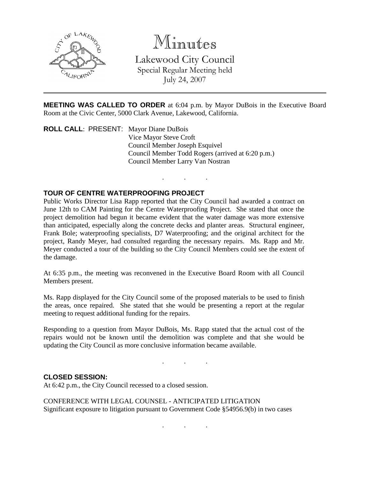

## Minutes

Lakewood City Council Special Regular Meeting held July 24, 2007

**MEETING WAS CALLED TO ORDER** at 6:04 p.m. by Mayor DuBois in the Executive Board Room at the Civic Center, 5000 Clark Avenue, Lakewood, California.

. . .

**ROLL CALL**: PRESENT: Mayor Diane DuBois Vice Mayor Steve Croft Council Member Joseph Esquivel Council Member Todd Rogers (arrived at 6:20 p.m.) Council Member Larry Van Nostran

## **TOUR OF CENTRE WATERPROOFING PROJECT**

Public Works Director Lisa Rapp reported that the City Council had awarded a contract on June 12th to CAM Painting for the Centre Waterproofing Project. She stated that once the project demolition had begun it became evident that the water damage was more extensive than anticipated, especially along the concrete decks and planter areas. Structural engineer, Frank Bole; waterproofing specialists, D7 Waterproofing; and the original architect for the project, Randy Meyer, had consulted regarding the necessary repairs. Ms. Rapp and Mr. Meyer conducted a tour of the building so the City Council Members could see the extent of the damage.

At 6:35 p.m., the meeting was reconvened in the Executive Board Room with all Council Members present.

Ms. Rapp displayed for the City Council some of the proposed materials to be used to finish the areas, once repaired. She stated that she would be presenting a report at the regular meeting to request additional funding for the repairs.

Responding to a question from Mayor DuBois, Ms. Rapp stated that the actual cost of the repairs would not be known until the demolition was complete and that she would be updating the City Council as more conclusive information became available.

. . .

## **CLOSED SESSION:**

At 6:42 p.m., the City Council recessed to a closed session.

CONFERENCE WITH LEGAL COUNSEL - ANTICIPATED LITIGATION Significant exposure to litigation pursuant to Government Code §54956.9(b) in two cases

. . .